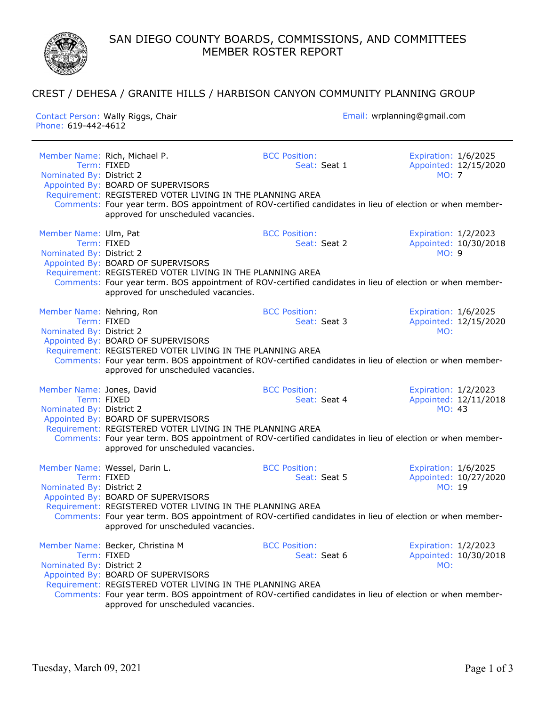SAN DIEGO COUNTY BOARDS, COMMISSIONS, AND COMMITTEES MEMBER ROSTER REPORT

## CREST / DEHESA / GRANITE HILLS / HARBISON CANYON COMMUNITY PLANNING GROUP

Contact Person: Wally Riggs, Chair Email: wrplanning@gmail.com Phone: 619-442-4612 Member Name: Rich, Michael P. BCC Position: Expiration: 1/6/2025 Term: FIXED Seat: Seat: Seat 1 Appointed: 12/15/2020 Nominated By: District 2 MO: 7 MO: 7 MO: 7 MO: 7 MO: 7 MO: 7 MO: 7 MO: 7 MO: 7 MO: 7 MO: 7 MO: 7 MO: 7 MO: 7 MO: 7 MO: 7 MO: 7 MO: 7 MO: 7 MO: 7 MO: 7 MO: 7 MO: 7 MO: 7 MO: 7 MO: 7 MO: 7 MO: 7 MO: 7 MO: 7 MO: 7 MO: 7 MO: 7 Appointed By: BOARD OF SUPERVISORS Requirement: REGISTERED VOTER LIVING IN THE PLANNING AREA Comments: Four year term. BOS appointment of ROV-certified candidates in lieu of election or when memberapproved for unscheduled vacancies. Member Name: Ulm, Pat **BCC Position:** BCC Position: Expiration: 1/2/2023 Term: FIXED<br>
Ed By: District 2 Appointed: 10/30/2018<br>
Seat: Seat 2 Appointed: 10/30/2018 Nominated By: District 2 Appointed By: BOARD OF SUPERVISORS Requirement: REGISTERED VOTER LIVING IN THE PLANNING AREA Comments: Four year term. BOS appointment of ROV-certified candidates in lieu of election or when memberapproved for unscheduled vacancies. Member Name: Nehring, Ron **BEC Position:** Expiration: 1/6/2025 Term: FIXED Seat: Seat: Seat 3 Appointed: 12/15/2020 Nominated By: District 2 MO: Appointed By: BOARD OF SUPERVISORS Requirement: REGISTERED VOTER LIVING IN THE PLANNING AREA Comments: Four year term. BOS appointment of ROV-certified candidates in lieu of election or when memberapproved for unscheduled vacancies. Member Name: Jones, David<br>
Member Name: Jones, David<br>
Term: FIXED Seat: Seat: Seat: 4 Appointed: 12/11/20 Seat: Seat 4 Appointed: 12/11/2018 Nominated By: District 2 MO: 43 Appointed By: BOARD OF SUPERVISORS Requirement: REGISTERED VOTER LIVING IN THE PLANNING AREA Comments: Four year term. BOS appointment of ROV-certified candidates in lieu of election or when memberapproved for unscheduled vacancies. Member Name: Wessel, Darin L. The Matter of BCC Position: The Expiration: 1/6/2025 Term: FIXED Seat: Seat: Seat 5 Appointed: 10/27/2020 Nominated By: District 2 MO: 19 Appointed By: BOARD OF SUPERVISORS Requirement: REGISTERED VOTER LIVING IN THE PLANNING AREA Comments: Four year term. BOS appointment of ROV-certified candidates in lieu of election or when memberapproved for unscheduled vacancies. Member Name: Becker, Christina M BCC Position: Expiration: 1/2/2023 Term: FIXED Seat: Seat: Seat 6 Appointed: 10/30/2018 Nominated By: District 2 MO: Appointed By: BOARD OF SUPERVISORS Requirement: REGISTERED VOTER LIVING IN THE PLANNING AREA Comments: Four year term. BOS appointment of ROV-certified candidates in lieu of election or when memberapproved for unscheduled vacancies.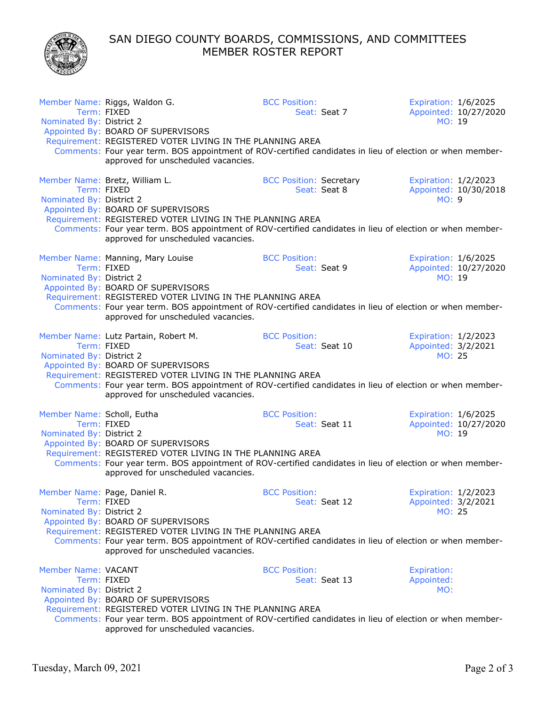SAN DIEGO COUNTY BOARDS, COMMISSIONS, AND COMMITTEES MEMBER ROSTER REPORT



| Nominated By: District 2                               | Member Name: Riggs, Waldon G.<br>Term: FIXED                                                                                                                                                                                                                                                               | <b>BCC Position:</b><br>Seat: Seat 7           | Expiration: 1/6/2025<br>Appointed: 10/27/2020<br>MO: 19      |
|--------------------------------------------------------|------------------------------------------------------------------------------------------------------------------------------------------------------------------------------------------------------------------------------------------------------------------------------------------------------------|------------------------------------------------|--------------------------------------------------------------|
|                                                        | Appointed By: BOARD OF SUPERVISORS<br>Requirement: REGISTERED VOTER LIVING IN THE PLANNING AREA<br>Comments: Four year term. BOS appointment of ROV-certified candidates in lieu of election or when member-<br>approved for unscheduled vacancies.                                                        |                                                |                                                              |
| Nominated By: District 2                               | Member Name: Bretz, William L.<br>Term: FIXED<br>Appointed By: BOARD OF SUPERVISORS<br>Requirement: REGISTERED VOTER LIVING IN THE PLANNING AREA<br>Comments: Four year term. BOS appointment of ROV-certified candidates in lieu of election or when member-<br>approved for unscheduled vacancies.       | <b>BCC Position: Secretary</b><br>Seat: Seat 8 | Expiration: 1/2/2023<br>Appointed: 10/30/2018<br>MO: 9       |
| Nominated By: District 2                               | Member Name: Manning, Mary Louise<br>Term: FIXED<br>Appointed By: BOARD OF SUPERVISORS<br>Requirement: REGISTERED VOTER LIVING IN THE PLANNING AREA<br>Comments: Four year term. BOS appointment of ROV-certified candidates in lieu of election or when member-<br>approved for unscheduled vacancies.    | <b>BCC Position:</b><br>Seat: Seat 9           | Expiration: 1/6/2025<br>Appointed: 10/27/2020<br>MO: 19      |
| Nominated By: District 2                               | Member Name: Lutz Partain, Robert M.<br>Term: FIXED<br>Appointed By: BOARD OF SUPERVISORS<br>Requirement: REGISTERED VOTER LIVING IN THE PLANNING AREA<br>Comments: Four year term. BOS appointment of ROV-certified candidates in lieu of election or when member-<br>approved for unscheduled vacancies. | <b>BCC Position:</b><br>Seat: Seat 10          | Expiration: 1/2/2023<br>Appointed: 3/2/2021<br><b>MO: 25</b> |
| Member Name: Scholl, Eutha<br>Nominated By: District 2 | Term: FIXED<br>Appointed By: BOARD OF SUPERVISORS<br>Requirement: REGISTERED VOTER LIVING IN THE PLANNING AREA<br>Comments: Four year term. BOS appointment of ROV-certified candidates in lieu of election or when member-<br>approved for unscheduled vacancies.                                         | <b>BCC Position:</b><br>Seat: Seat 11          | Expiration: 1/6/2025<br>Appointed: 10/27/2020<br>MO: 19      |
| Nominated By: District 2                               | Member Name: Page, Daniel R.<br>Term: FIXED<br>Appointed By: BOARD OF SUPERVISORS<br>Requirement: REGISTERED VOTER LIVING IN THE PLANNING AREA<br>Comments: Four year term. BOS appointment of ROV-certified candidates in lieu of election or when member-<br>approved for unscheduled vacancies.         | <b>BCC Position:</b><br>Seat: Seat 12          | Expiration: 1/2/2023<br>Appointed: 3/2/2021<br>MO: 25        |
| <b>Member Name: VACANT</b><br>Nominated By: District 2 | Term: FIXED<br>Appointed By: BOARD OF SUPERVISORS<br>Requirement: REGISTERED VOTER LIVING IN THE PLANNING AREA<br>Comments: Four year term. BOS appointment of ROV-certified candidates in lieu of election or when member-<br>approved for unscheduled vacancies.                                         | <b>BCC Position:</b><br>Seat: Seat 13          | <b>Expiration:</b><br>Appointed:<br>MO:                      |